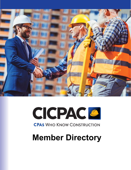



**CPAS WHO KNOW CONSTRUCTION** 

# **Member Directory**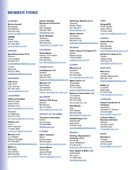# **MEMBER FIRMS**

#### **ALABAMA A**

**Warren Averett W** *Birmingham B* Will Aderholt W 205.979.4100 2 will.aderholt@warrenaverett.com

#### **HORNE H**

*Mobile M* Joel K. Bobo J 251.655.0500 2 joel.bobo@horne.com

#### **ARIZONA A**

**BeachFleischman PLLC B** *Phoenix P* Tracy Hughes T 602.265.7011 6 thughes@beachfleischman.com

*Tucson T* Bryan Eto B 520.321.4600 5 beto@beachfleischman.com

#### **ARKANSAS A**

**EGP, PLLC E** *Little Rock L* Colin Gorman C 501.320.1030 5 cgorman@egpcpas.com

#### **CALIFORNIA C**

**CliftonLarsonAllen C** *Walnut Creek W* Julian Xavier J 925.943.1776 9 iulian.xavier@claconnect.com

*Roseville R* Tim Mahoney T 916.677.5778 9 tim.mahoney@claconnect.com ti

**Gelman LLP G** *Irvine Ir* Mark Tackmann M 714.667.2600 7 mtackmann@gelmanllp.com

**Marcum, LLP M** *Los Angeles L* Warren Hennagin W 949.236.5620 9 warren.hennagin@marcumllp.com

#### **RBTK, LL R**

*San Diego S* Kevin Brown K 858.430.0300 8 kbrown@rbtk-cpa.com k **Soares, Sandall, Bernacchi & Petrovich** *Oxnard* Rick Heldwein 805.485.7965 rickh@ssbp.com

#### **Soren McAdam** *Redlands* Cindy Watts 909.798.2222 cwatts@sorenmcadam.com

# **COLORADO**

**Plante Moran** *Denver / Fort Collins* Josh Billiard 970.282.5416 josh.billiard@plantemoran.com

# **CONNECTICUT**

**CohnReznick LLP** *Hartford* Dan Donofrio 959.200.7003 daniel.donofrio@cohnreznick.com

**Marcum LLP** *New Haven* Joe Natarelli 203.781.9710 joseph.natarelli@marcumllp.com

# **DELAWARE**

**Santora CPA Group** *Newark* Bill Santora 302.737.6200 bsantora@santoracpa.com

#### **DISTRICT OF COLUMBIA**

**Thompson Greenspon** *Fairfax* Gray Coyner 703.385.8888 gkc@tgccpa.com

#### **FLORIDA**

**H&Co. Advisors** *Miami* Emilio Alvarez 305.444.6503 ealvarez@handcoadvisors.com

**James Moore** *Gainesville* Jeremy Wright 352.378.1331 jeremy.wright@jmco.com **Kerkering, Barberio & Co.** *Sarasota* Shirley Fieber 941.365.4617 sfieber@kbarp.com

**Warren Averett** *Pensacola* Scott Warren 850.444.7218 scott.warren@warrenaverett.com

#### **GEORGIA**

**Coker James & Company P.C.** *Atlanta* Melinda Davis 770.916.9900 mad@cokerjames.com

# **ILLINOIS**

**Marcum LLP** *Deerfi eld* Tim Crosby 847.282.6368 tim.crosby@marcumllp.com

**Martin Hood LLC** *Champaign* Wade Hoey 217.315.2000 wade.hoey@martinhood.com

**Mowery & Schoenfeld, LLC** *Lincolnshire* Tom Keenan 847.281.3506 tkennan@msllc.com

**PKF Mueller** *Elgin* John Bibeau 630.524.5768 jbibeau@pkfmueller.com

**Scheff el Boyle, P.C.** *Edwardsville* Mark Korte 618.656.1206 mark.korte@scheffelboyle.com

# **INDIANA**

**Harding, Shymanski & Company, P.S.C.** *Evansville* Aaron Wilzbacher 812.464.9161 awilzbacher@hsccpa.com

**Katz, Sapper & Miller, LLP** *Indianapolis* Ron Lenz 317.580.2063 rlenz@ksmcpa.com

# **IOWA**

**BerganKDV** *Cedar Rapids* Adam Tillman 515.697.4530 adam.tillman@bergankdv.com

# **KANSAS**

**Adams Brown** *Wichita* Mark Barnett 316.262.6578 mbarnett@adamsbrowncpa.com

**Berberich Trahan & Co.** *Topeka* Pepper David 785.272.3176 pdavid@btandcocpa.com

## **KENTUCKY**

**Blue & Co.** *Lexington* Jennifer Miloszewski 859.253.1100 jmiloszewski@blueandco.com

**MCM LLP** *Louisville* Matt Neely 812.670.3434 matt.neely@mcmcpa.com

# **LOUISIANA**

**Daenen Henderson & Company** *Alexandria* Jacquelyn S. Daenen 318.445.4585 jdaenen@dhc-cpas.com

**LaPorte CPAs & Business Advisors** *Metairie* Christina Chifici 504.835.5522 cchifici@laporte.com

#### **MAINE**

**BerryDunn** *Portland* Linda Roberts 207.541.2281 lroberts@berrydunn.com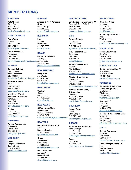# **MEMBER FIRMS**

#### **MARYLAND M**

**KatzAbosch K**

*Timonium T* Kristin Bailey K 410.307.6398 4 kbailey@katzabosch.com k

#### **MASSACHUSETTS M**

**BerryDunn B** *Boston B* Linda Roberts L 617.878.2175 6 lroberts@berrydunn.com lr

**CohnReznick LLP C** *Springfi eld S* Dan Donofrio D 959.200.7003 9 daniel.donofrio@cohnreznick.com James Main

## **MICHIGAN M**

**Brickley DeLong B** Grand Haven John Koscielniak J 616.608.8538 6 jkoscielniak@brickleydelong.com Linda Roberts jk

**Iannuzzi Manetta Ia** *Troy T* Chris Iannuzzi C 248.641.0005 2 ciannuzzi@imc-cpa.com

**Yeo & Yeo CPAs & Y Business Consultants B** *Kalamazoo K* Carol Patridge C 269.329.7007 2 carpat@yeoandyeo.com

*Saginaw S* A.J. Licht A 989.793.9830 9 andlic@yeoandyeo.com

#### **MINNESOTA M**

**Boyum Barenscheer B** *Bloomington B* Randy Feld R 952.854.4244 9 r<u>feld@myboyum.com</u>

#### **MISSISSIPPI M**

**HORNE H** *Ridgeland (Jackson) R* Joel K. Bobo J 601.326.1000 6 joel.bobo@horne.com jo

#### **MISSOURI**

**Anders CPAs + Advisors** *St. Louis* Robert Berger 314.655.5500 rberger@anderscpa.com

#### **NEBRASKA**

**Lutz** *Omaha* Ryan Cook 402.827.2085 rcook@lutz.us

#### **NEVADA**

**CliftonLarsonAllen** *Las Vegas* 702.259.6222 jim.main@claconnect.com

# **NEW HAMPSHIRE**

**BerryDunn** *Manchester* 603.518.2600 lroberts@berrydunn.com

#### **NEW JERSEY**

**Sax LLP** *Clifton* Ermal Luzaj 973.472.6250 eluzaj@saxllp.com

## **NEW MEXICO**

**CliftonLarsonAllen** *Albuquerque* Michael Mimovich 505.843.6492 michael.mimovich@claconnect.com

# **NEW YORK**

**Dannible & McKee, LLP** *Syracuse* Kenneth Gardiner 315.472.9127 kgardiner@dmcpas.com

**Grassi** *Long Island* Carl Oliveri 516.256.3500 coliveri@grassicpas.com

**RBT CPAs, LLP**

*Newburgh* Susan Howell 845.485.5510 slhowell@rbtcpas.com

#### **NORTH CAROLINA**

**Smith, Kesler & Company, PA** *Research Triangle Park* Allen Spence 919.544.5198 maspence@skandco.com

#### **OHIO**

**Barnes Dennig** *Cincinnati* Eric Goodman 513.241.8313 egoodman@barnesdennig.com

**GBQ Partners LLC** *Columbus* Bob Biehl 614.947.5211 bbiehl@gbq.com

**Kentner Sellers, LLP** *Dayton* Marvin Homan 937.898.1376 mhoman@kentnersellers.com

**Meaden & Moore, Ltd.** *Cleveland* Carlin Culbertson 216.928.5356 cculbertson@meadenmoore.com

**Mosley, Pfundt, Glick, & O'Brien, Inc.** *Maumee* R. David O'Brien 419.861.1120 david.obrien@mppginc.com

# **OKLAHOMA**

**Hogan Taylor** *Tulsa* John Cooper 918.745.2333 jcooper@hogantaylor.com

# **OREGON**

**Aldrich CPAs + Advisors** *Lake Oswego* Joe Schneid 503.620.4489 jschneid@aldrichadvisors.com

*Salem* Jim Dailey 503.585.7774 jdailey@aldrichadvisors.com

#### **PENNSYLVANIA**

**Kreischer Miller** *Horsham* Carlo Ferri 856.513.5512 cferri@kmco.com

**Stambaugh Ness, Inc.** *York* Tim Klimchock 717.757.6999 tklimchock@stambaughness.com

## **PUERTO RICO**

**Torres CPA Group** *Carolina* William Torres 787.752.4545 cpatorres@torrescpa.com

# **SOUTH CAROLINA**

**Smith, Kesler & Co., PA** *Spartanburg* W. Steve Hinds 864.327.1504 wshinds@skandco.com

# **TENNESSEE**

**Henderson Hutcherson & McCullough PLLC** *Chattanooga* Trip Farmer 423.756.7771 tfarmer@hhmcpas.com

**Marcum LLP** *Nashville* Jim Lundy 615.245.4000 jim.lundy@marcumllp.com

**Stallings & Associates CPAs** *Memphis* Jeff Stallings 901.365.7770 jeff.stallings@stallingscpas.com

# **TEXAS**

**Calvetti Ferguson** *Houston* Kyle Kmiec 832.742.2411 kkmiec@calvettiferguson.com

**Gollob Morgan Peddy PC** *Tyler* Heather Sellers 903.534.0088 heathers@gmpcpa.com